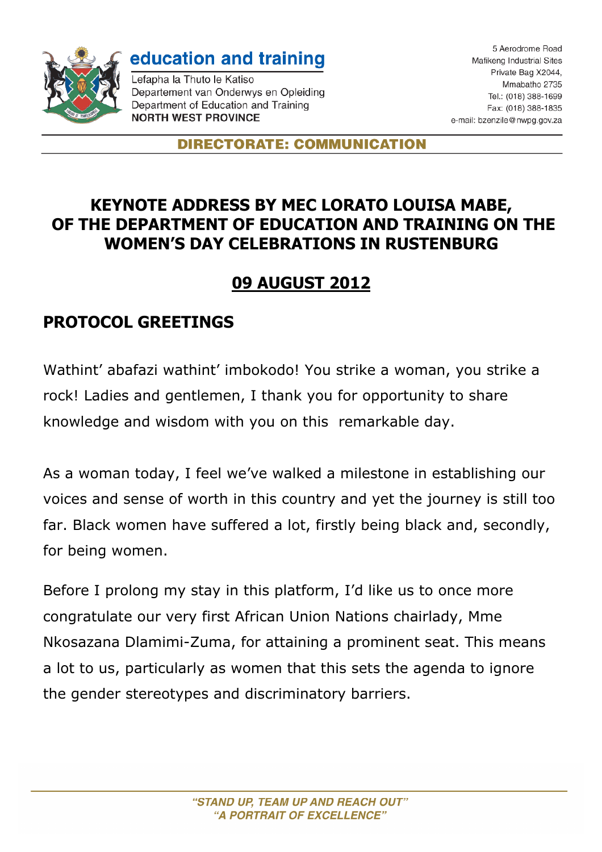

education and training

Lefapha la Thuto le Katiso Departement van Onderwys en Opleiding Department of Education and Training **NORTH WEST PROVINCE** 

5 Aerodrome Road Mafikeng Industrial Sites Private Bag X2044, Mmabatho 2735 Tel.: (018) 388-1699 Fax: (018) 388-1835 e-mail: bzenzile@nwpg.gov.za

**DIRECTORATE: COMMUNICATION** 

## **KEYNOTE ADDRESS BY MEC LORATO LOUISA MABE, OF THE DEPARTMENT OF EDUCATION AND TRAINING ON THE WOMEN'S DAY CELEBRATIONS IN RUSTENBURG**

## **09 AUGUST 2012**

## **PROTOCOL GREETINGS**

Wathint' abafazi wathint' imbokodo! You strike a woman, you strike a rock! Ladies and gentlemen, I thank you for opportunity to share knowledge and wisdom with you on this remarkable day.

As a woman today, I feel we've walked a milestone in establishing our voices and sense of worth in this country and yet the journey is still too far. Black women have suffered a lot, firstly being black and, secondly, for being women.

Before I prolong my stay in this platform, I'd like us to once more congratulate our very first African Union Nations chairlady, Mme Nkosazana Dlamimi-Zuma, for attaining a prominent seat. This means a lot to us, particularly as women that this sets the agenda to ignore the gender stereotypes and discriminatory barriers.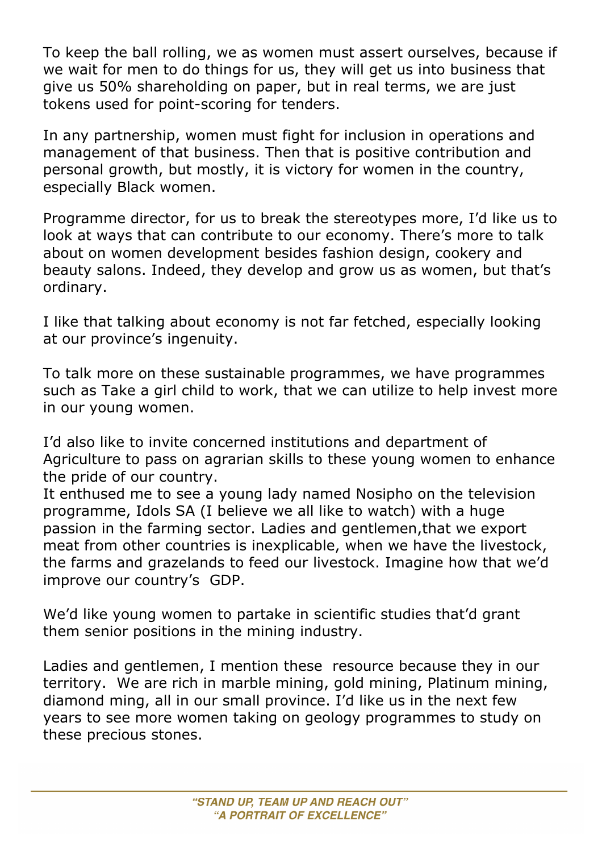To keep the ball rolling, we as women must assert ourselves, because if we wait for men to do things for us, they will get us into business that give us 50% shareholding on paper, but in real terms, we are just tokens used for point-scoring for tenders.

In any partnership, women must fight for inclusion in operations and management of that business. Then that is positive contribution and personal growth, but mostly, it is victory for women in the country, especially Black women.

Programme director, for us to break the stereotypes more, I'd like us to look at ways that can contribute to our economy. There's more to talk about on women development besides fashion design, cookery and beauty salons. Indeed, they develop and grow us as women, but that's ordinary.

I like that talking about economy is not far fetched, especially looking at our province's ingenuity.

To talk more on these sustainable programmes, we have programmes such as Take a girl child to work, that we can utilize to help invest more in our young women.

I'd also like to invite concerned institutions and department of Agriculture to pass on agrarian skills to these young women to enhance the pride of our country.

It enthused me to see a young lady named Nosipho on the television programme, Idols SA (I believe we all like to watch) with a huge passion in the farming sector. Ladies and gentlemen,that we export meat from other countries is inexplicable, when we have the livestock, the farms and grazelands to feed our livestock. Imagine how that we'd improve our country's GDP.

We'd like young women to partake in scientific studies that'd grant them senior positions in the mining industry.

Ladies and gentlemen, I mention these resource because they in our territory. We are rich in marble mining, gold mining, Platinum mining, diamond ming, all in our small province. I'd like us in the next few years to see more women taking on geology programmes to study on these precious stones.